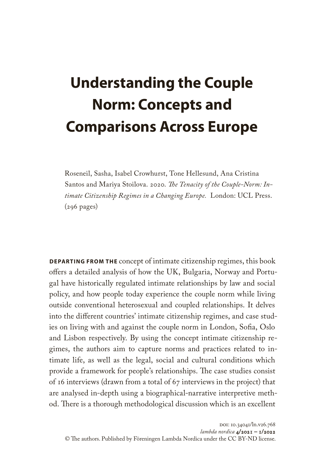## **Understanding the Couple Norm: Concepts and Comparisons Across Europe**

Roseneil, Sasha, Isabel Crowhurst, Tone Hellesund, Ana Cristina Santos and Mariya Stoilova. 2020. *The Tenacity of the Couple-Norm: Intimate Citizenship Regimes in a Changing Europe.* London: UCL Press.  $(296 \text{ pages})$ 

**DEPARTING FROM THE** concept of intimate citizenship regimes, this book offers a detailed analysis of how the UK, Bulgaria, Norway and Portugal have historically regulated intimate relationships by law and social policy, and how people today experience the couple norm while living outside conventional heterosexual and coupled relationships. It delves into the different countries' intimate citizenship regimes, and case studies on living with and against the couple norm in London, Sofia, Oslo and Lisbon respectively. By using the concept intimate citizenship regimes, the authors aim to capture norms and practices related to intimate life, as well as the legal, social and cultural conditions which provide a framework for people's relationships. The case studies consist of 16 interviews (drawn from a total of 67 interviews in the project) that are analysed in-depth using a biographical-narrative interpretive method. There is a thorough methodological discussion which is an excellent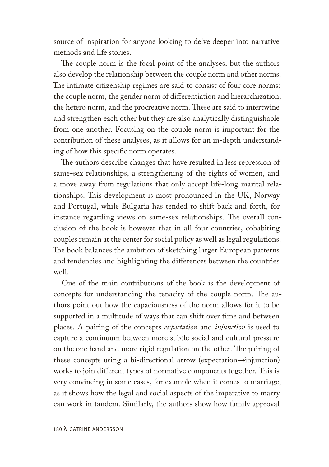source of inspiration for anyone looking to delve deeper into narrative methods and life stories.

The couple norm is the focal point of the analyses, but the authors also develop the relationship between the couple norm and other norms. The intimate citizenship regimes are said to consist of four core norms: the couple norm, the gender norm of differentiation and hierarchization, the hetero norm, and the procreative norm. These are said to intertwine and strengthen each other but they are also analytically distinguishable from one another. Focusing on the couple norm is important for the contribution of these analyses, as it allows for an in-depth understanding of how this specific norm operates.

The authors describe changes that have resulted in less repression of same-sex relationships, a strengthening of the rights of women, and a move away from regulations that only accept life-long marital relationships. This development is most pronounced in the UK, Norway and Portugal, while Bulgaria has tended to shift back and forth, for instance regarding views on same-sex relationships. The overall conclusion of the book is however that in all four countries, cohabiting couples remain at the center for social policy as well as legal regulations. The book balances the ambition of sketching larger European patterns and tendencies and highlighting the differences between the countries well.

One of the main contributions of the book is the development of concepts for understanding the tenacity of the couple norm. The authors point out how the capaciousness of the norm allows for it to be supported in a multitude of ways that can shift over time and between places. A pairing of the concepts *expectation* and *injunction* is used to capture a continuum between more subtle social and cultural pressure on the one hand and more rigid regulation on the other. The pairing of these concepts using a bi-directional arrow (expectation $\leftrightarrow$ injunction) works to join different types of normative components together. This is very convincing in some cases, for example when it comes to marriage, as it shows how the legal and social aspects of the imperative to marry can work in tandem. Similarly, the authors show how family approval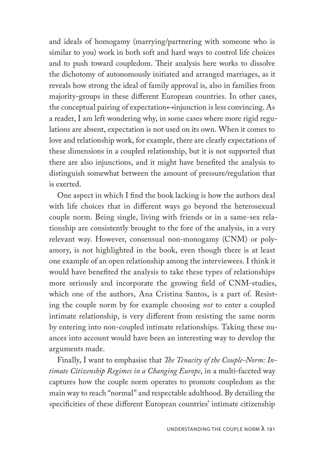and ideals of homogamy (marrying/partnering with someone who is similar to you) work in both soft and hard ways to control life choices and to push toward coupledom. Their analysis here works to dissolve the dichotomy of autonomously initiated and arranged marriages, as it reveals how strong the ideal of family approval is, also in families from majority-groups in these different European countries. In other cases, the conceptual pairing of expectation↔injunction is less convincing. As a reader, I am left wondering why, in some cases where more rigid regulations are absent, expectation is not used on its own. When it comes to love and relationship work, for example, there are clearly expectations of these dimensions in a coupled relationship, but it is not supported that there are also injunctions, and it might have benefited the analysis to distinguish somewhat between the amount of pressure/regulation that is exerted.

One aspect in which I find the book lacking is how the authors deal with life choices that in different ways go beyond the heterosexual couple norm. Being single, living with friends or in a same-sex relationship are consistently brought to the fore of the analysis, in a very relevant way. However, consensual non-monogamy (CNM) or polyamory, is not highlighted in the book, even though there is at least one example of an open relationship among the interviewees. I think it would have benefited the analysis to take these types of relationships more seriously and incorporate the growing field of CNM-studies, which one of the authors, Ana Cristina Santos, is a part of. Resisting the couple norm by for example choosing *not* to enter a coupled intimate relationship, is very different from resisting the same norm by entering into non-coupled intimate relationships. Taking these nuances into account would have been an interesting way to develop the arguments made.

Finally, I want to emphasise that *The Tenacity of the Couple-Norm: Intimate Citizenship Regimes in a Changing Europe*, in a multi-faceted way captures how the couple norm operates to promote coupledom as the main way to reach "normal" and respectable adulthood. By detailing the specificities of these different European countries' intimate citizenship